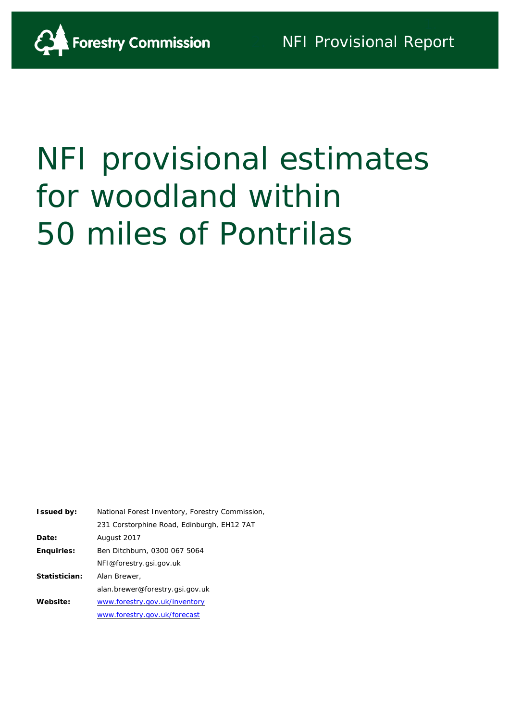

# NFI provisional estimates for woodland within 50 miles of Pontrilas

| <b>Issued by:</b> | National Forest Inventory, Forestry Commission, |
|-------------------|-------------------------------------------------|
|                   | 231 Corstorphine Road, Edinburgh, EH12 7AT      |
| Date:             | August 2017                                     |
| <b>Enquiries:</b> | Ben Ditchburn, 0300 067 5064                    |
|                   | NFI@forestry.gsi.gov.uk                         |
| Statistician:     | Alan Brewer,                                    |
|                   | alan.brewer@forestry.gsi.gov.uk                 |
| Website:          | www.forestry.gov.uk/inventory                   |
|                   | www.forestry.gov.uk/forecast                    |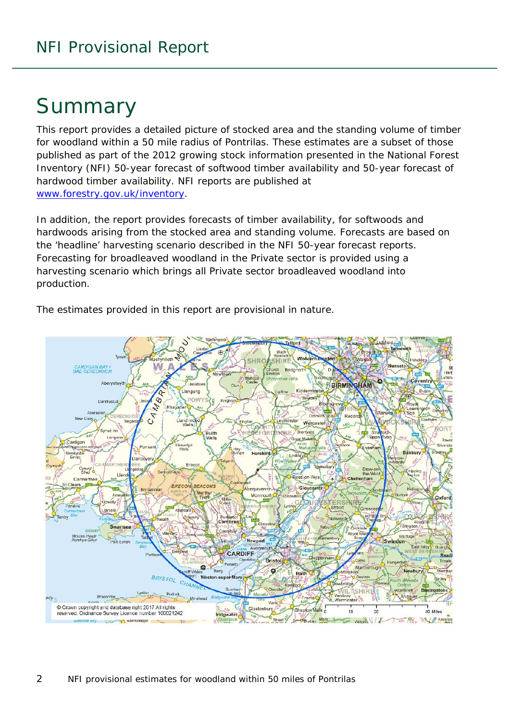# Summary

This report provides a detailed picture of stocked area and the standing volume of timber for woodland within a 50 mile radius of Pontrilas. These estimates are a subset of those published as part of the 2012 growing stock information presented in the National Forest Inventory (NFI) *50-year forecast of softwood timber availability* and *50-year forecast of hardwood timber availability*. NFI reports are published at [www.forestry.gov.uk/inventory.](http://www.forestry.gov.uk/inventory)

In addition, the report provides forecasts of timber availability, for softwoods and hardwoods arising from the stocked area and standing volume. Forecasts are based on the 'headline' harvesting scenario described in the NFI 50-year forecast reports. Forecasting for broadleaved woodland in the Private sector is provided using a harvesting scenario which brings all Private sector broadleaved woodland into production.



The estimates provided in this report are provisional in nature.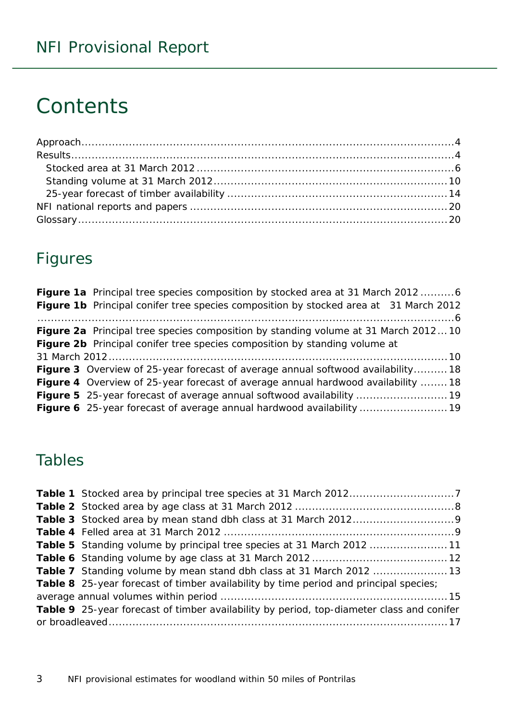# **Contents**

## Figures

| Figure 1a Principal tree species composition by stocked area at 31 March 2012 6           |
|-------------------------------------------------------------------------------------------|
| Figure 1b Principal conifer tree species composition by stocked area at 31 March 2012     |
|                                                                                           |
| <b>Figure 2a</b> Principal tree species composition by standing volume at 31 March 201210 |
| Figure 2b Principal conifer tree species composition by standing volume at                |
|                                                                                           |
| <b>Figure 3</b> Overview of 25-year forecast of average annual softwood availability18    |
| <b>Figure 4</b> Overview of 25-year forecast of average annual hardwood availability 18   |
|                                                                                           |
| Figure 6 25-year forecast of average annual hardwood availability  19                     |

### Tables

| <b>Table 5</b> Standing volume by principal tree species at 31 March 2012 11              |  |
|-------------------------------------------------------------------------------------------|--|
|                                                                                           |  |
|                                                                                           |  |
| Table 8 25-year forecast of timber availability by time period and principal species;     |  |
|                                                                                           |  |
| Table 9 25-year forecast of timber availability by period, top-diameter class and conifer |  |
|                                                                                           |  |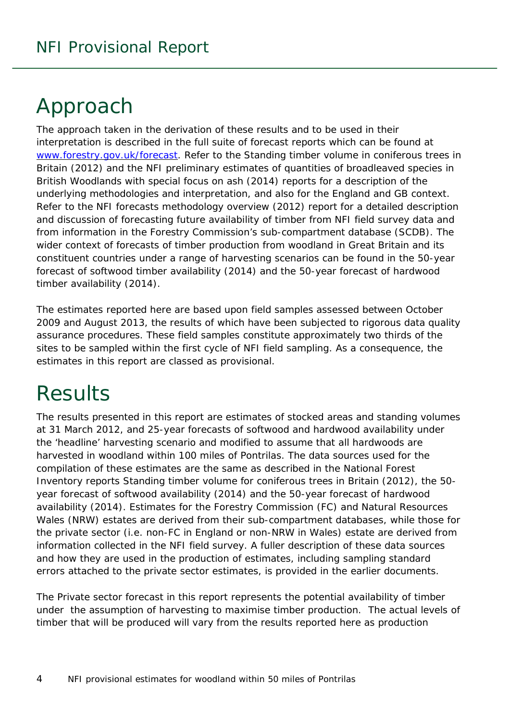# <span id="page-3-0"></span>Approach

The approach taken in the derivation of these results and to be used in their interpretation is described in the full suite of forecast reports which can be found at [www.forestry.gov.uk/forecast.](http://www.forestry.gov.uk/forecast) Refer to the *Standing timber volume in coniferous trees in Britain* (2012) and the *NFI preliminary estimates of quantities of broadleaved species in British Woodlands with special focus on ash* (2014) reports for a description of the underlying methodologies and interpretation, and also for the England and GB context. Refer to the *NFI forecasts methodology overview* (2012) report for a detailed description and discussion of forecasting future availability of timber from NFI field survey data and from information in the Forestry Commission's sub-compartment database (SCDB). The wider context of forecasts of timber production from woodland in Great Britain and its constituent countries under a range of harvesting scenarios can be found in the *50-year forecast of softwood timber availability* (2014) and the *50-year forecast of hardwood timber availability* (2014).

The estimates reported here are based upon field samples assessed between October 2009 and August 2013, the results of which have been subjected to rigorous data quality assurance procedures. These field samples constitute approximately two thirds of the sites to be sampled within the first cycle of NFI field sampling. As a consequence, the estimates in this report are classed as provisional.

# <span id="page-3-1"></span>**Results**

The results presented in this report are estimates of stocked areas and standing volumes at 31 March 2012, and 25-year forecasts of softwood and hardwood availability under the 'headline' harvesting scenario and modified to assume that all hardwoods are harvested in woodland within 100 miles of Pontrilas. The data sources used for the compilation of these estimates are the same as described in the National Forest Inventory reports *Standing timber volume for coniferous trees in Britain* (2012), the *50 year forecast of softwood availability* (2014) and the *50-year forecast of hardwood availability* (2014). Estimates for the Forestry Commission (FC) and Natural Resources Wales (NRW) estates are derived from their sub-compartment databases, while those for the private sector (i.e. non-FC in England or non-NRW in Wales) estate are derived from information collected in the NFI field survey. A fuller description of these data sources and how they are used in the production of estimates, including sampling standard errors attached to the private sector estimates, is provided in the earlier documents.

The Private sector forecast in this report represents the potential availability of timber under the assumption of harvesting to maximise timber production. The actual levels of timber that will be produced will vary from the results reported here as production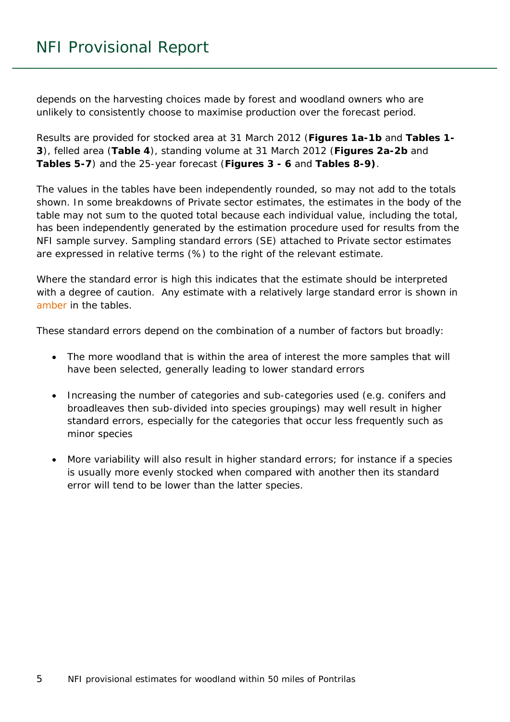depends on the harvesting choices made by forest and woodland owners who are unlikely to consistently choose to maximise production over the forecast period.

Results are provided for stocked area at 31 March 2012 (**Figures 1a-1b** and **Tables 1- 3**), felled area (**Table 4**), standing volume at 31 March 2012 (**Figures 2a-2b** and **Tables 5-7**) and the 25-year forecast (**Figures 3 - 6** and **Tables 8-9)**.

The values in the tables have been independently rounded, so may not add to the totals shown. In some breakdowns of Private sector estimates, the estimates in the body of the table may not sum to the quoted total because each individual value, including the total, has been independently generated by the estimation procedure used for results from the NFI sample survey. Sampling standard errors (SE) attached to Private sector estimates are expressed in relative terms (%) to the right of the relevant estimate.

Where the standard error is high this indicates that the estimate should be interpreted with a degree of caution. Any estimate with a relatively large standard error is shown in amber in the tables.

These standard errors depend on the combination of a number of factors but broadly:

- The more woodland that is within the area of interest the more samples that will have been selected, generally leading to lower standard errors
- Increasing the number of categories and sub-categories used (e.g. conifers and broadleaves then sub-divided into species groupings) may well result in higher standard errors, especially for the categories that occur less frequently such as minor species
- More variability will also result in higher standard errors; for instance if a species is usually more evenly stocked when compared with another then its standard error will tend to be lower than the latter species.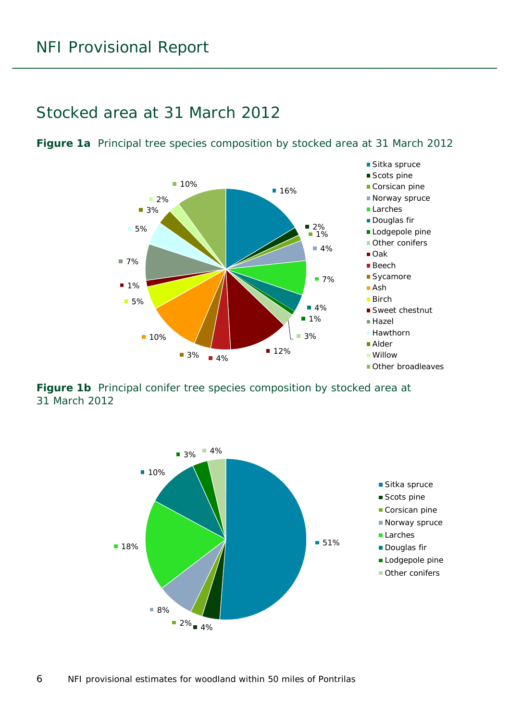### <span id="page-5-0"></span>Stocked area at 31 March 2012

<span id="page-5-1"></span>**Figure 1a** Principal tree species composition by stocked area at 31 March 2012



<span id="page-5-2"></span>**Figure 1b** Principal conifer tree species composition by stocked area at 31 March 2012

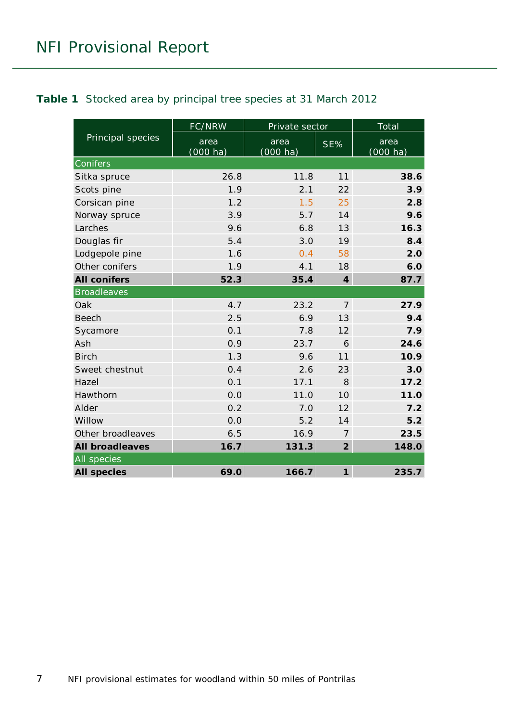<span id="page-6-0"></span>

|                        | FC/NRW                     | Private sector             |                             | <b>Total</b>        |
|------------------------|----------------------------|----------------------------|-----------------------------|---------------------|
| Principal species      | area<br>$(000 \text{ ha})$ | area<br>$(000 \text{ ha})$ | SE%                         | area<br>$(000)$ ha) |
| Conifers               |                            |                            |                             |                     |
| Sitka spruce           | 26.8                       | 11.8                       | 11                          | 38.6                |
| Scots pine             | 1.9                        | 2.1                        | 22                          | 3.9                 |
| Corsican pine          | 1.2                        | 1.5                        | 25                          | 2.8                 |
| Norway spruce          | 3.9                        | 5.7                        | 14                          | 9.6                 |
| Larches                | 9.6                        | 6.8                        | 13                          | 16.3                |
| Douglas fir            | 5.4                        | 3.0                        | 19                          | 8.4                 |
| Lodgepole pine         | 1.6                        | 0.4                        | 58                          | 2.0                 |
| Other conifers         | 1.9                        | 4.1                        | 18                          | 6.0                 |
| <b>All conifers</b>    | 52.3                       | 35.4                       | $\overline{\boldsymbol{4}}$ | 87.7                |
| <b>Broadleaves</b>     |                            |                            |                             |                     |
| Oak                    | 4.7                        | 23.2                       | $\overline{7}$              | 27.9                |
| <b>Beech</b>           | 2.5                        | 6.9                        | 13                          | 9.4                 |
| Sycamore               | 0.1                        | 7.8                        | 12                          | 7.9                 |
| Ash                    | 0.9                        | 23.7                       | 6                           | 24.6                |
| <b>Birch</b>           | 1.3                        | 9.6                        | 11                          | 10.9                |
| Sweet chestnut         | 0.4                        | 2.6                        | 23                          | 3.0                 |
| Hazel                  | 0.1                        | 17.1                       | 8                           | 17.2                |
| Hawthorn               | 0.0                        | 11.0                       | 10                          | 11.0                |
| Alder                  | 0.2                        | 7.0                        | 12                          | 7.2                 |
| Willow                 | 0.0                        | 5.2                        | 14                          | 5.2                 |
| Other broadleaves      | 6.5                        | 16.9                       | 7                           | 23.5                |
| <b>All broadleaves</b> | 16.7                       | 131.3                      | $\overline{2}$              | 148.0               |
| All species            |                            |                            |                             |                     |
| <b>All species</b>     | 69.0                       | 166.7                      | $\boldsymbol{\mathcal{I}}$  | 235.7               |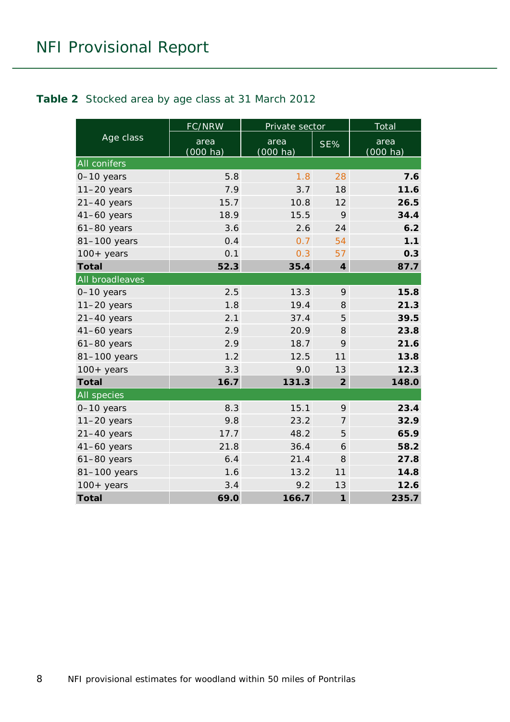#### <span id="page-7-0"></span>**Table 2** Stocked area by age class at 31 March 2012

|                 | FC/NRW                     | Private sector             |                             | Total               |
|-----------------|----------------------------|----------------------------|-----------------------------|---------------------|
| Age class       | area<br>$(000 \text{ ha})$ | area<br>$(000 \text{ ha})$ | SE%                         | area<br>$(000)$ ha) |
| All conifers    |                            |                            |                             |                     |
| $0-10$ years    | 5.8                        | 1.8                        | 28                          | 7.6                 |
| $11-20$ years   | 7.9                        | 3.7                        | 18                          | 11.6                |
| $21-40$ years   | 15.7                       | 10.8                       | 12                          | 26.5                |
| $41-60$ years   | 18.9                       | 15.5                       | 9                           | 34.4                |
| $61-80$ years   | 3.6                        | 2.6                        | 24                          | 6.2                 |
| 81-100 years    | 0.4                        | 0.7                        | 54                          | 1.1                 |
| $100+$ years    | 0.1                        | 0.3                        | 57                          | 0.3                 |
| <b>Total</b>    | 52.3                       | 35.4                       | $\overline{\boldsymbol{4}}$ | 87.7                |
| All broadleaves |                            |                            |                             |                     |
| 0-10 years      | 2.5                        | 13.3                       | 9                           | 15.8                |
| $11-20$ years   | 1.8                        | 19.4                       | 8                           | 21.3                |
| $21-40$ years   | 2.1                        | 37.4                       | 5                           | 39.5                |
| $41-60$ years   | 2.9                        | 20.9                       | 8                           | 23.8                |
| $61-80$ years   | 2.9                        | 18.7                       | 9                           | 21.6                |
| 81-100 years    | 1.2                        | 12.5                       | 11                          | 13.8                |
| $100+$ years    | 3.3                        | 9.0                        | 13                          | 12.3                |
| <b>Total</b>    | 16.7                       | 131.3                      | $\overline{2}$              | 148.0               |
| All species     |                            |                            |                             |                     |
| $0-10$ years    | 8.3                        | 15.1                       | 9                           | 23.4                |
| $11-20$ years   | 9.8                        | 23.2                       | $\overline{7}$              | 32.9                |
| $21-40$ years   | 17.7                       | 48.2                       | 5                           | 65.9                |
| $41-60$ years   | 21.8                       | 36.4                       | 6                           | 58.2                |
| $61-80$ years   | 6.4                        | 21.4                       | 8                           | 27.8                |
| 81-100 years    | 1.6                        | 13.2                       | 11                          | 14.8                |
| $100+$ years    | 3.4                        | 9.2                        | 13                          | 12.6                |
| <b>Total</b>    | 69.0                       | 166.7                      | $\mathbf{1}$                | 235.7               |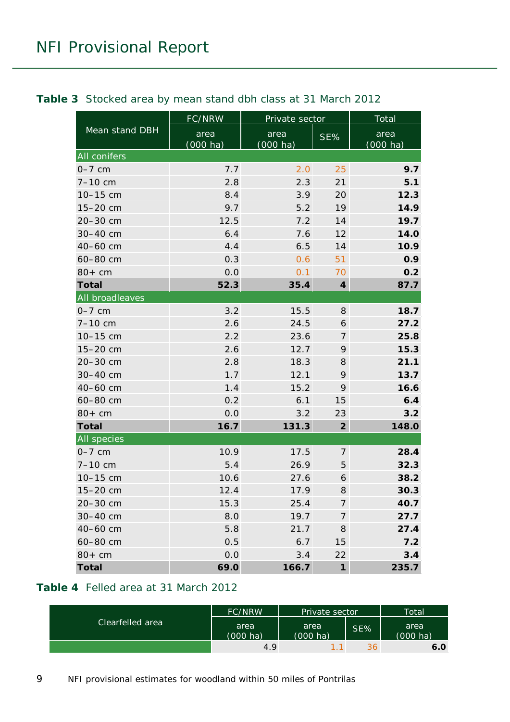|                 | FC/NRW           | Private sector   |                            | Total                   |
|-----------------|------------------|------------------|----------------------------|-------------------------|
| Mean stand DBH  | area<br>(000 ha) | area<br>(000 ha) | SE%                        | area<br><u>(000 ha)</u> |
| All conifers    |                  |                  |                            |                         |
| $0-7$ cm        | 7.7              | 2.0              | 25                         | 9.7                     |
| $7 - 10$ cm     | 2.8              | 2.3              | 21                         | 5.1                     |
| 10-15 cm        | 8.4              | 3.9              | 20                         | 12.3                    |
| 15-20 cm        | 9.7              | 5.2              | 19                         | 14.9                    |
| 20-30 cm        | 12.5             | 7.2              | 14                         | 19.7                    |
| 30-40 cm        | 6.4              | 7.6              | 12                         | 14.0                    |
| 40-60 cm        | 4.4              | 6.5              | 14                         | 10.9                    |
| 60-80 cm        | 0.3              | 0.6              | 51                         | 0.9                     |
| $80+cm$         | 0.0              | 0.1              | 70                         | 0.2                     |
| <b>Total</b>    | 52.3             | 35.4             | $\boldsymbol{4}$           | 87.7                    |
| All broadleaves |                  |                  |                            |                         |
| $0-7$ cm        | 3.2              | 15.5             | 8                          | 18.7                    |
| 7-10 cm         | 2.6              | 24.5             | 6                          | 27.2                    |
| 10-15 cm        | 2.2              | 23.6             | 7                          | 25.8                    |
| 15-20 cm        | 2.6              | 12.7             | 9                          | 15.3                    |
| 20-30 cm        | 2.8              | 18.3             | 8                          | 21.1                    |
| 30-40 cm        | 1.7              | 12.1             | 9                          | 13.7                    |
| 40-60 cm        | 1.4              | 15.2             | 9                          | 16.6                    |
| 60-80 cm        | 0.2              | 6.1              | 15                         | 6.4                     |
| $80+cm$         | 0.0              | 3.2              | 23                         | 3.2                     |
| <b>Total</b>    | 16.7             | 131.3            | $\overline{2}$             | 148.0                   |
| All species     |                  |                  |                            |                         |
| $0-7$ cm        | 10.9             | 17.5             | $\overline{7}$             | 28.4                    |
| $7 - 10$ cm     | 5.4              | 26.9             | 5                          | 32.3                    |
| 10-15 cm        | 10.6             | 27.6             | 6                          | 38.2                    |
| 15-20 cm        | 12.4             | 17.9             | 8                          | 30.3                    |
| 20-30 cm        | 15.3             | 25.4             | $\overline{7}$             | 40.7                    |
| 30-40 cm        | 8.0              | 19.7             | $\overline{7}$             | 27.7                    |
| 40-60 cm        | 5.8              | 21.7             | 8                          | 27.4                    |
| 60-80 cm        | 0.5              | 6.7              | 15                         | 7.2                     |
| $80+cm$         | 0.0              | 3.4              | 22                         | 3.4                     |
| <b>Total</b>    | 69.0             | 166.7            | $\boldsymbol{\mathcal{I}}$ | 235.7                   |

#### <span id="page-8-0"></span>**Table 3** Stocked area by mean stand dbh class at 31 March 2012

#### <span id="page-8-1"></span>**Table 4** Felled area at 31 March 2012

|                  | <b>FC/NRW</b><br>Private sector |                            |     | Total                      |
|------------------|---------------------------------|----------------------------|-----|----------------------------|
| Clearfelled area | area<br>$(000 \text{ ha})$      | area<br>$(000 \text{ ha})$ | SE% | area<br>$(000 \text{ ha})$ |
|                  | 4.9                             |                            | 36  | 6.0                        |

9 NFI provisional estimates for woodland within 50 miles of Pontrilas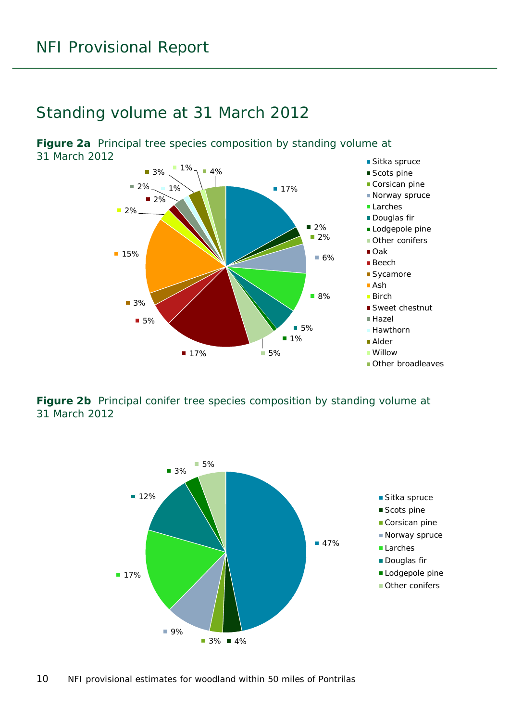### <span id="page-9-0"></span>Standing volume at 31 March 2012

<span id="page-9-1"></span>**Figure 2a** Principal tree species composition by standing volume at 31 March 2012



<span id="page-9-2"></span>**Figure 2b** Principal conifer tree species composition by standing volume at 31 March 2012

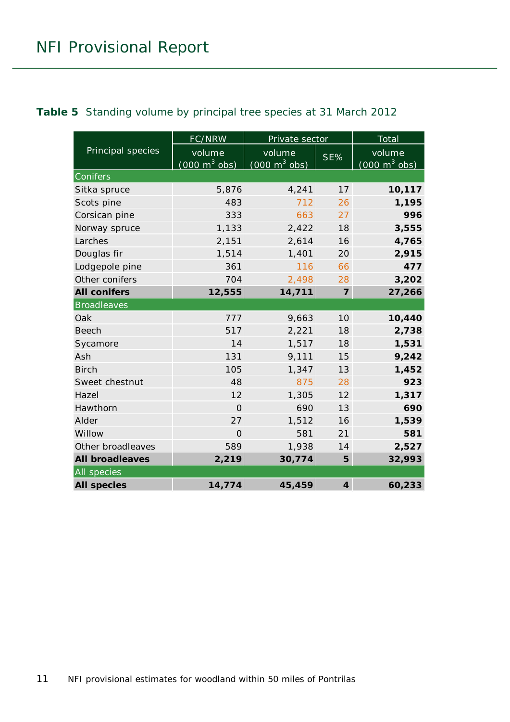<span id="page-10-0"></span>

|  |  |  | Table 5 Standing volume by principal tree species at 31 March 2012 |  |
|--|--|--|--------------------------------------------------------------------|--|
|--|--|--|--------------------------------------------------------------------|--|

|                        | FC/NRW                                    | Private sector                            |                | Total                                     |
|------------------------|-------------------------------------------|-------------------------------------------|----------------|-------------------------------------------|
| Principal species      | volume<br>$(000 \text{ m}^3 \text{ obs})$ | volume<br>$(000 \text{ m}^3 \text{ obs})$ | SE%            | volume<br>$(000 \text{ m}^3 \text{ obs})$ |
| Conifers               |                                           |                                           |                |                                           |
| Sitka spruce           | 5,876                                     | 4,241                                     | 17             | 10,117                                    |
| Scots pine             | 483                                       | 712                                       | 26             | 1,195                                     |
| Corsican pine          | 333                                       | 663                                       | 27             | 996                                       |
| Norway spruce          | 1,133                                     | 2,422                                     | 18             | 3,555                                     |
| Larches                | 2,151                                     | 2,614                                     | 16             | 4,765                                     |
| Douglas fir            | 1,514                                     | 1,401                                     | 20             | 2,915                                     |
| Lodgepole pine         | 361                                       | 116                                       | 66             | 477                                       |
| Other conifers         | 704                                       | 2,498                                     | 28             | 3,202                                     |
| <b>All conifers</b>    | 12,555                                    | 14,711                                    | $\overline{7}$ | 27,266                                    |
| <b>Broadleaves</b>     |                                           |                                           |                |                                           |
| Oak                    | 777                                       | 9,663                                     | 10             | 10,440                                    |
| <b>Beech</b>           | 517                                       | 2,221                                     | 18             | 2,738                                     |
| Sycamore               | 14                                        | 1,517                                     | 18             | 1,531                                     |
| Ash                    | 131                                       | 9,111                                     | 15             | 9,242                                     |
| <b>Birch</b>           | 105                                       | 1,347                                     | 13             | 1,452                                     |
| Sweet chestnut         | 48                                        | 875                                       | 28             | 923                                       |
| Hazel                  | 12                                        | 1,305                                     | 12             | 1,317                                     |
| Hawthorn               | $\Omega$                                  | 690                                       | 13             | 690                                       |
| Alder                  | 27                                        | 1,512                                     | 16             | 1,539                                     |
| Willow                 | $\overline{O}$                            | 581                                       | 21             | 581                                       |
| Other broadleaves      | 589                                       | 1,938                                     | 14             | 2,527                                     |
| <b>All broadleaves</b> | 2,219                                     | 30,774                                    | 5              | 32,993                                    |
| <b>All species</b>     |                                           |                                           |                |                                           |
| <b>All species</b>     | 14,774                                    | 45,459                                    | $\overline{4}$ | 60,233                                    |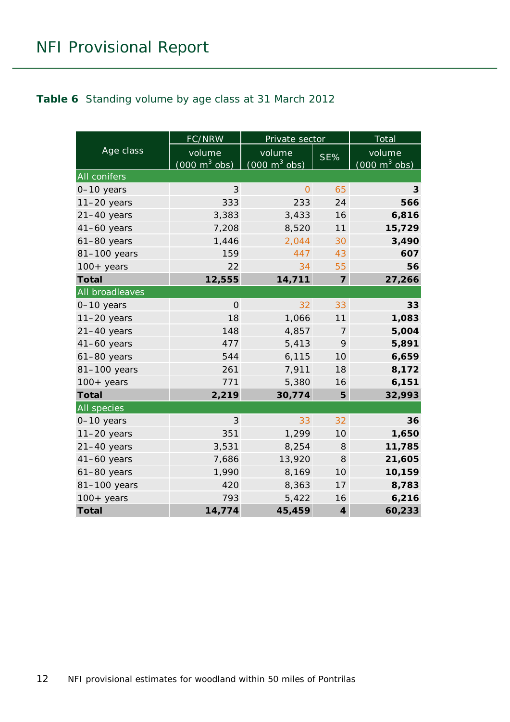#### <span id="page-11-0"></span>**Table 6** Standing volume by age class at 31 March 2012

|                    | <b>FC/NRW</b>                             | Private sector                            |                | Total                                     |
|--------------------|-------------------------------------------|-------------------------------------------|----------------|-------------------------------------------|
| Age class          | volume<br>$(000 \text{ m}^3 \text{ obs})$ | volume<br>$(000 \text{ m}^3 \text{ obs})$ | SE%            | volume<br>$(000 \text{ m}^3 \text{ obs})$ |
| All conifers       |                                           |                                           |                |                                           |
| $0-10$ years       | 3                                         | $\overline{O}$                            | 65             | 3                                         |
| $11-20$ years      | 333                                       | 233                                       | 24             | 566                                       |
| $21-40$ years      | 3,383                                     | 3,433                                     | 16             | 6,816                                     |
| $41-60$ years      | 7,208                                     | 8,520                                     | 11             | 15,729                                    |
| $61-80$ years      | 1,446                                     | 2,044                                     | 30             | 3,490                                     |
| 81-100 years       | 159                                       | 447                                       | 43             | 607                                       |
| $100+$ years       | 22                                        | 34                                        | 55             | 56                                        |
| <b>Total</b>       | 12,555                                    | 14,711                                    | $\overline{7}$ | 27,266                                    |
| All broadleaves    |                                           |                                           |                |                                           |
| $0-10$ years       | $\overline{O}$                            | 32                                        | 33             | 33                                        |
| $11-20$ years      | 18                                        | 1,066                                     | 11             | 1,083                                     |
| $21-40$ years      | 148                                       | 4,857                                     | $\overline{7}$ | 5,004                                     |
| $41-60$ years      | 477                                       | 5,413                                     | 9              | 5,891                                     |
| $61-80$ years      | 544                                       | 6,115                                     | 10             | 6,659                                     |
| 81-100 years       | 261                                       | 7,911                                     | 18             | 8,172                                     |
| $100+$ years       | 771                                       | 5,380                                     | 16             | 6,151                                     |
| <b>Total</b>       | 2,219                                     | 30,774                                    | 5              | 32,993                                    |
| <b>All</b> species |                                           |                                           |                |                                           |
| 0-10 years         | 3                                         | 33                                        | 32             | 36                                        |
| $11-20$ years      | 351                                       | 1,299                                     | 10             | 1,650                                     |
| $21-40$ years      | 3,531                                     | 8,254                                     | 8              | 11,785                                    |
| $41-60$ years      | 7,686                                     | 13,920                                    | 8              | 21,605                                    |
| $61-80$ years      | 1,990                                     | 8,169                                     | 10             | 10,159                                    |
| 81-100 years       | 420                                       | 8,363                                     | 17             | 8,783                                     |
| $100+$ years       | 793                                       | 5,422                                     | 16             | 6,216                                     |
| <b>Total</b>       | 14,774                                    | 45,459                                    | $\overline{4}$ | 60,233                                    |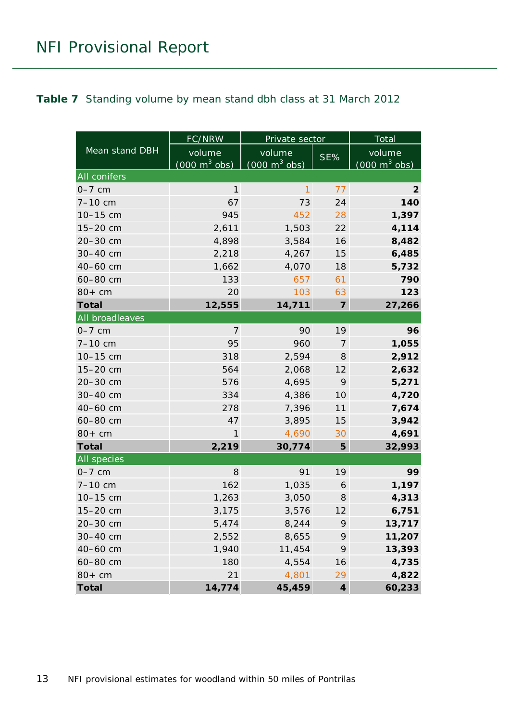#### <span id="page-12-0"></span>**Table 7** Standing volume by mean stand dbh class at 31 March 2012

|                    | <b>FC/NRW</b>                       | Private sector                  | Total            |                                     |  |  |  |
|--------------------|-------------------------------------|---------------------------------|------------------|-------------------------------------|--|--|--|
| Mean stand DBH     | volume                              | volume                          | SE%              | volume                              |  |  |  |
|                    | $(000 \; \text{m}^3 \; \text{obs})$ | $(000 \text{ m}^3 \text{ obs})$ |                  | $(000 \; \text{m}^3 \; \text{obs})$ |  |  |  |
| All conifers       |                                     |                                 |                  |                                     |  |  |  |
| $0-7$ cm           | $\mathbf{1}$                        | $\mathbf{1}$                    | 77               | $\overline{2}$                      |  |  |  |
| $7 - 10$ cm        | 67                                  | 73                              | 24               | 140                                 |  |  |  |
| 10-15 cm           | 945                                 | 452                             | 28               | 1,397                               |  |  |  |
| 15-20 cm           | 2,611                               | 1,503                           | 22               | 4,114                               |  |  |  |
| 20-30 cm           | 4,898                               | 3,584                           | 16               | 8,482                               |  |  |  |
| 30-40 cm           | 2,218                               | 4,267                           | 15               | 6,485                               |  |  |  |
| 40-60 cm           | 1,662                               | 4,070                           | 18               | 5,732                               |  |  |  |
| 60-80 cm           | 133                                 | 657                             | 61               | 790                                 |  |  |  |
| $80+cm$            | 20                                  | 103                             | 63               | 123                                 |  |  |  |
| <b>Total</b>       | 12,555                              | 14,711                          | $\overline{7}$   | 27,266                              |  |  |  |
| All broadleaves    |                                     |                                 |                  |                                     |  |  |  |
| $0-7$ cm           | $\overline{7}$                      | 90                              | 19               | 96                                  |  |  |  |
| $7 - 10$ cm        | 95                                  | 960                             | $\overline{7}$   | 1,055                               |  |  |  |
| 10-15 cm           | 318                                 | 2,594                           | 8                | 2,912                               |  |  |  |
| 15-20 cm           | 564                                 | 2,068                           | 12               | 2,632                               |  |  |  |
| 20-30 cm           | 576                                 | 4,695                           | 9                | 5,271                               |  |  |  |
| 30-40 cm           | 334                                 | 4,386                           | 10               | 4,720                               |  |  |  |
| 40-60 cm           | 278                                 | 7,396                           | 11               | 7,674                               |  |  |  |
| 60-80 cm           | 47                                  | 3,895                           | 15               | 3,942                               |  |  |  |
| $80+cm$            | 1                                   | 4,690                           | 30               | 4,691                               |  |  |  |
| <b>Total</b>       | 2,219                               | 30,774                          | 5                | 32,993                              |  |  |  |
| <b>All</b> species |                                     |                                 |                  |                                     |  |  |  |
| $0-7$ cm           | 8                                   | 91                              | 19               | 99                                  |  |  |  |
| $7 - 10$ cm        | 162                                 | 1,035                           | 6                | 1,197                               |  |  |  |
| 10-15 cm           | 1,263                               | 3,050                           | 8                | 4,313                               |  |  |  |
| 15-20 cm           | 3,175                               | 3,576                           | 12               | 6,751                               |  |  |  |
| 20-30 cm           | 5,474                               | 8,244                           | 9                | 13,717                              |  |  |  |
| 30-40 cm           | 2,552                               | 8,655                           | 9                | 11,207                              |  |  |  |
| 40-60 cm           | 1,940                               | 11,454                          | 9                | 13,393                              |  |  |  |
| 60-80 cm           | 180                                 | 4,554                           | 16               | 4,735                               |  |  |  |
| $80+cm$            | 21                                  | 4,801                           | 29               | 4,822                               |  |  |  |
| <b>Total</b>       | 14,774                              | 45,459                          | $\boldsymbol{4}$ | 60,233                              |  |  |  |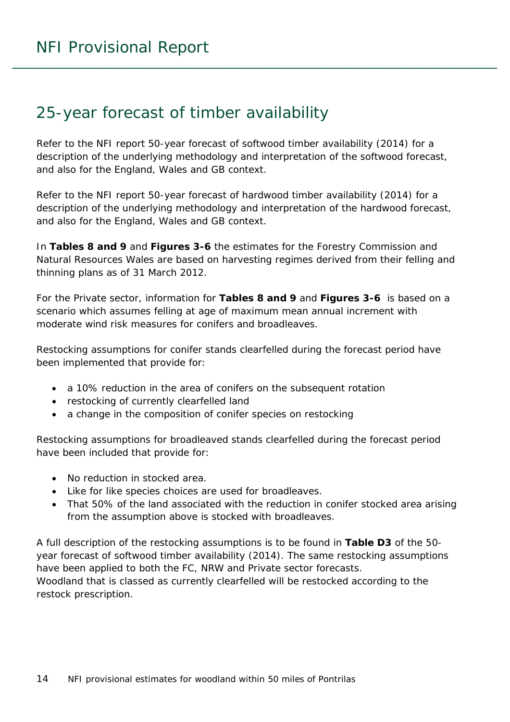### <span id="page-13-0"></span>25-year forecast of timber availability

Refer to the NFI report *50-year forecast of softwood timber availability* (2014) for a description of the underlying methodology and interpretation of the softwood forecast, and also for the England, Wales and GB context.

Refer to the NFI report *50-year forecast of hardwood timber availability* (2014) for a description of the underlying methodology and interpretation of the hardwood forecast, and also for the England, Wales and GB context.

In **Tables 8 and 9** and **Figures 3-6** the estimates for the Forestry Commission and Natural Resources Wales are based on harvesting regimes derived from their felling and thinning plans as of 31 March 2012.

For the Private sector, information for **Tables 8 and 9** and **Figures 3-6** is based on a scenario which assumes felling at age of maximum mean annual increment with moderate wind risk measures for conifers and broadleaves.

Restocking assumptions for conifer stands clearfelled during the forecast period have been implemented that provide for:

- a 10% reduction in the area of conifers on the subsequent rotation
- restocking of currently clearfelled land
- a change in the composition of conifer species on restocking

Restocking assumptions for broadleaved stands clearfelled during the forecast period have been included that provide for:

- No reduction in stocked area.
- Like for like species choices are used for broadleaves.
- That 50% of the land associated with the reduction in conifer stocked area arising from the assumption above is stocked with broadleaves.

A full description of the restocking assumptions is to be found in **Table D3** of the *50 year forecast of softwood timber availability* (2014). The same restocking assumptions have been applied to both the FC, NRW and Private sector forecasts. Woodland that is classed as currently clearfelled will be restocked according to the restock prescription.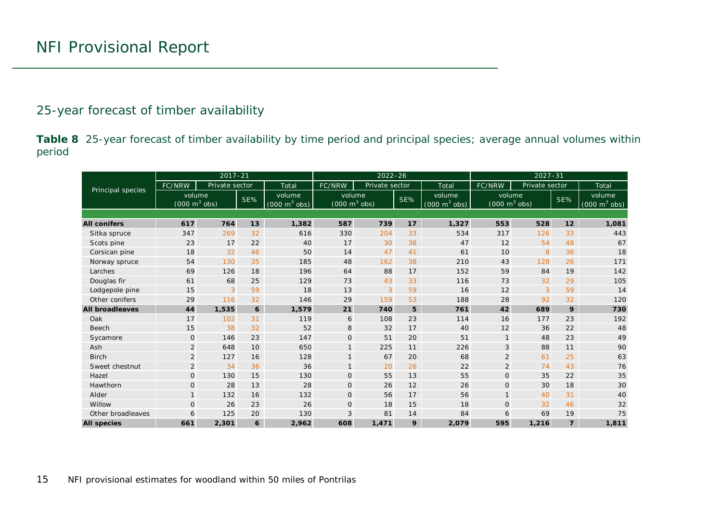#### 25-year forecast of timber availability

**Table 8** 25-year forecast of timber availability by time period and principal species; average annual volumes within period

<span id="page-14-0"></span>

|                        |                                           | $2017 - 21$    |     |                                               |                                           | $2022 - 26$    |     |                                               | $2027 - 31$                               |                |                |                                           |  |
|------------------------|-------------------------------------------|----------------|-----|-----------------------------------------------|-------------------------------------------|----------------|-----|-----------------------------------------------|-------------------------------------------|----------------|----------------|-------------------------------------------|--|
| Principal species      | FC/NRW                                    | Private sector |     | Total                                         | FC/NRW                                    | Private sector |     | Total                                         | FC/NRW                                    | Private sector |                | Total                                     |  |
|                        | volume<br>$(000 \text{ m}^3 \text{ obs})$ |                | SE% | volume<br>$(000 \; \text{m}^3 \; \text{obs})$ | volume<br>$(000 \text{ m}^3 \text{ obs})$ |                | SE% | volume<br>$(000 \; \text{m}^3 \; \text{obs})$ | volume<br>$(000 \text{ m}^3 \text{ obs})$ |                | SE%            | volume<br>$(000 \text{ m}^3 \text{ obs})$ |  |
|                        |                                           |                |     |                                               |                                           |                |     |                                               |                                           |                |                |                                           |  |
| <b>All conifers</b>    | 617                                       | 764            | 13  | 1,382                                         | 587                                       | 739            | 17  | 1,327                                         | 553                                       | 528            | 12             | 1,081                                     |  |
| Sitka spruce           | 347                                       | 269            | 32  | 616                                           | 330                                       | 204            | 33  | 534                                           | 317                                       | 126            | 33             | 443                                       |  |
| Scots pine             | 23                                        | 17             | 22  | 40                                            | 17                                        | 30             | 38  | 47                                            | 12                                        | 54             | 48             | 67                                        |  |
| Corsican pine          | 18                                        | 32             | 46  | 50                                            | 14                                        | 47             | 41  | 61                                            | 10                                        | 8              | 36             | 18                                        |  |
| Norway spruce          | 54                                        | 130            | 35  | 185                                           | 48                                        | 162            | 38  | 210                                           | 43                                        | 128            | 26             | 171                                       |  |
| Larches                | 69                                        | 126            | 18  | 196                                           | 64                                        | 88             | 17  | 152                                           | 59                                        | 84             | 19             | 142                                       |  |
| Douglas fir            | 61                                        | 68             | 25  | 129                                           | 73                                        | 43             | 33  | 116                                           | 73                                        | 32             | 29             | 105                                       |  |
| Lodgepole pine         | $\overline{3}$<br>15                      |                | 59  | 18                                            | 13                                        | 3              | 59  | 16                                            | 12                                        | $\overline{3}$ | 59             | 14                                        |  |
| Other conifers         | 116<br>29                                 |                | 32  | 146                                           | 29                                        | 159            | 53  | 188                                           | 28                                        | 92             | 32             | 120                                       |  |
| <b>All broadleaves</b> | 44                                        | 1,535          | 6   | 1,579                                         | 21                                        | 740            | 5   | 761                                           | 42                                        | 689            | 9              | 730                                       |  |
| Oak                    | 17                                        | 102            | 31  | 119                                           | 6                                         | 108            | 23  | 114                                           | 16                                        | 177            | 23             | 192                                       |  |
| <b>Beech</b>           | 15                                        | 38             | 32  | 52                                            | 8                                         | 32             | 17  | 40                                            | 12                                        | 36             | 22             | 48                                        |  |
| Sycamore               | $\mathbf{O}$                              | 146            | 23  | 147                                           | $\mathbf 0$                               | 51             | 20  | 51                                            | $\mathbf{1}$                              | 48             | 23             | 49                                        |  |
| Ash                    | $\overline{2}$                            | 648            | 10  | 650                                           | $\mathbf{1}$                              | 225            | 11  | 226                                           | 3                                         | 88             | 11             | 90                                        |  |
| <b>Birch</b>           | $\overline{2}$                            | 127            | 16  | 128                                           | $\mathbf{1}$                              | 67             | 20  | 68                                            | $\overline{a}$                            | 61             | 25             | 63                                        |  |
| Sweet chestnut         | 2                                         | 34             | 36  | 36                                            | $\mathbf{1}$                              | 20             | 26  | 22                                            | $\overline{2}$                            | 74             | 43             | 76                                        |  |
| Hazel                  | $\mathbf{O}$                              | 130            | 15  | 130                                           | $\mathsf O$                               | 55             | 13  | 55                                            | $\mathsf O$                               | 35             | 22             | 35                                        |  |
| Hawthorn               | $\mathbf{O}$                              | 28             | 13  | 28                                            | $\overline{O}$                            | 26             | 12  | 26                                            | $\mathsf{O}$                              | 30             | 18             | 30                                        |  |
| Alder                  | $\mathbf{1}$                              | 132            | 16  | 132                                           | $\mathsf O$                               | 56             | 17  | 56                                            | $\mathbf{1}$                              | 40             | 31             | 40                                        |  |
| Willow                 | $\mathbf{O}$                              | 26             | 23  | 26                                            | $\mathbf{O}$                              | 18             | 15  | 18                                            | $\mathsf{O}$                              | 32             | 46             | 32                                        |  |
| Other broadleaves      | 6                                         | 125            | 20  | 130                                           | 3                                         | 81             | 14  | 84                                            | 6                                         | 69             | 19             | 75                                        |  |
| <b>All species</b>     | 661                                       | 2,301          | 6   | 2,962                                         | 608                                       | 1,471          | 9   | 2,079                                         | 595                                       | 1,216          | $\overline{z}$ | 1,811                                     |  |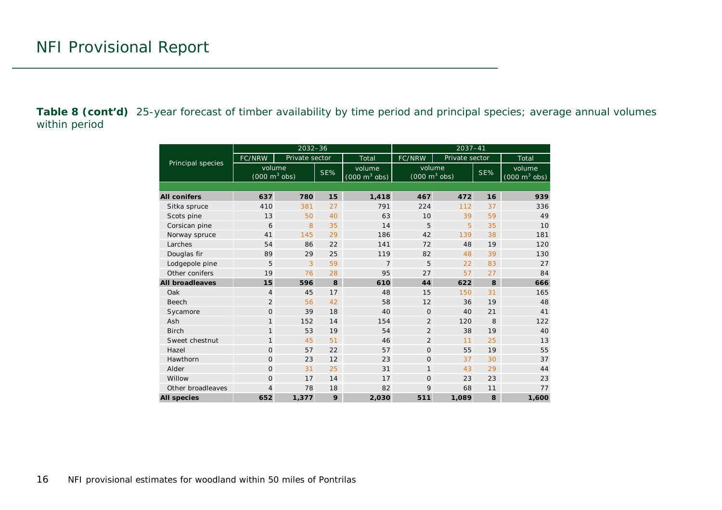**Table 8 (cont'd)** 25-year forecast of timber availability by time period and principal species; average annual volumes within period

|                        |                                           | $2032 - 36$    |     |                                           | $2037 - 41$                                      |                |    |                                           |  |  |  |
|------------------------|-------------------------------------------|----------------|-----|-------------------------------------------|--------------------------------------------------|----------------|----|-------------------------------------------|--|--|--|
| Principal species      | FC/NRW                                    | Private sector |     | Total                                     | FC/NRW                                           | Private sector |    | Total                                     |  |  |  |
|                        | volume<br>$(000 \text{ m}^3 \text{ obs})$ |                | SE% | volume<br>$(000 \text{ m}^3 \text{ obs})$ | volume<br>SE%<br>$(000 \text{ m}^3 \text{ obs})$ |                |    | volume<br>$(000 \text{ m}^3 \text{ obs})$ |  |  |  |
|                        |                                           |                |     |                                           |                                                  |                |    |                                           |  |  |  |
| <b>All conifers</b>    | 637                                       | 780            | 15  | 1,418                                     | 467                                              | 472            | 16 | 939                                       |  |  |  |
| Sitka spruce           | 410                                       | 381            | 27  | 791                                       | 224                                              | 112            | 37 | 336                                       |  |  |  |
| Scots pine             | 13                                        | 50             | 40  | 63                                        | 10                                               | 39             | 59 | 49                                        |  |  |  |
| Corsican pine          | 6                                         | 8              | 35  | 14                                        | 5                                                | 5              | 35 | 10                                        |  |  |  |
| Norway spruce          | 41                                        | 145            | 29  | 186                                       | 42                                               | 139            | 38 | 181                                       |  |  |  |
| Larches                | 54                                        | 86             | 22  | 141                                       | 72                                               | 48             | 19 | 120                                       |  |  |  |
| Douglas fir            | 89                                        | 29             | 25  | 119                                       | 82                                               | 48             | 39 | 130                                       |  |  |  |
| Lodgepole pine         | 5                                         |                | 59  | $\overline{7}$                            | 5                                                | 22             | 83 | 27                                        |  |  |  |
| Other conifers         | 19                                        | 76             | 28  | 95                                        | 27                                               | 57             | 27 | 84                                        |  |  |  |
| <b>All broadleaves</b> | 15                                        | 596            | 8   | 610                                       | 44                                               | 622            | 8  | 666                                       |  |  |  |
| Oak                    | $\overline{4}$                            | 45             | 17  | 48                                        | 15                                               | 150            | 31 | 165                                       |  |  |  |
| <b>Beech</b>           | $\overline{2}$                            | 56             | 42  | 58                                        | 12                                               | 36             | 19 | 48                                        |  |  |  |
| Sycamore               | $\overline{O}$                            | 39             | 18  | 40                                        | $\mathbf 0$                                      | 40             | 21 | 41                                        |  |  |  |
| Ash                    | $\mathbf{1}$                              | 152            | 14  | 154                                       | $\overline{2}$                                   | 120            | 8  | 122                                       |  |  |  |
| <b>Birch</b>           | $\mathbf{1}$                              | 53             | 19  | 54                                        | 2                                                | 38             | 19 | 40                                        |  |  |  |
| Sweet chestnut         | $\mathbf{1}$                              | 45             | 51  | 46                                        | $\overline{2}$                                   | 11             | 25 | 13                                        |  |  |  |
| Hazel                  | $\overline{O}$                            | 57             | 22  | 57                                        | $\mathbf 0$                                      | 55             | 19 | 55                                        |  |  |  |
| Hawthorn               | $\Omega$                                  | 23             | 12  | 23                                        | $\Omega$                                         | 37             | 30 | 37                                        |  |  |  |
| Alder                  | $\mathbf{O}$                              | 31             | 25  | 31                                        | 1                                                | 43             | 29 | 44                                        |  |  |  |
| Willow                 | $\Omega$                                  | 17             | 14  | 17                                        | $\mathbf{O}$                                     | 23             | 23 | 23                                        |  |  |  |
| Other broadleaves      | 4                                         | 78             | 18  | 82                                        | 9                                                | 68             | 11 | 77                                        |  |  |  |
| <b>All species</b>     | 652                                       | 1,377          | 9   | 2.030                                     | 511                                              | 1.089          | 8  | 1,600                                     |  |  |  |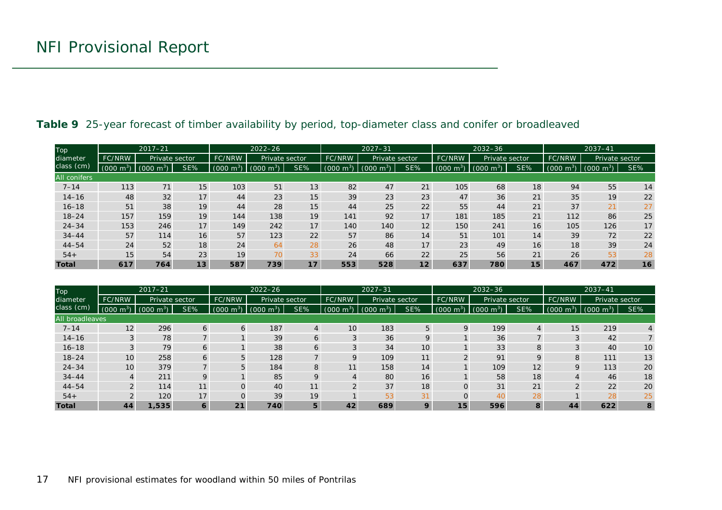| Top                 |                          | $2017 - 21$                      |                          |                | $2022 - 26$   |                |                         | $2027 - 31$    |                | $2032 - 36$    |                         |                | $2037 - 41$         |                        |     |
|---------------------|--------------------------|----------------------------------|--------------------------|----------------|---------------|----------------|-------------------------|----------------|----------------|----------------|-------------------------|----------------|---------------------|------------------------|-----|
| diameter            | FC/NRW<br>Private sector |                                  | Private sector<br>FC/NRW |                | FC/NRW        | Private sector |                         | <b>FC/NRW</b>  | Private sector |                | <b>FC/NRW</b>           | Private sector |                     |                        |     |
| class (cm)          | $(000 \text{ m}^3)$      | $\sim$ m <sup>3</sup> )<br>(000) | SE%                      | $m^3$<br>(000) | (000<br>$m^3$ | SE%            | (000)<br>m <sup>3</sup> | (000)<br>$m^3$ | SE%            | (000)<br>$m^3$ | (000)<br>$\mathsf{m}^3$ | SE%            | $(000 \text{ m}^3)$ | m <sup>3</sup><br>(000 | SE% |
| <b>All conifers</b> |                          |                                  |                          |                |               |                |                         |                |                |                |                         |                |                     |                        |     |
| $7 - 14$            | 113                      | 71                               | 15                       | 103            | 51            | 13             | 82                      | 47             | 21             | 105            | 68                      | 18             | 94                  | 55                     | 14  |
| $14 - 16$           | 48                       | 32                               | 17                       | 44             | 23            | 15             | 39                      | 23             | 23             | 47             | 36                      | 21             | 35                  | 19                     | 22  |
| $16 - 18$           | 51                       | 38                               | 19                       | 44             | 28            | 15             | 44                      | 25             | 22             | 55             | 44                      | 21             | 37                  | 21                     | 27  |
| $18 - 24$           | 157                      | 159                              | 19                       | 144            | 138           | 19             | 141                     | 92             | 17             | 181            | 185                     | 21             | 112                 | 86                     | 25  |
| $24 - 34$           | 153                      | 246                              | 17                       | 149            | 242           | 17             | 140                     | 140            | 12             | 150            | 241                     | 16             | 105                 | 126                    | 17  |
| $34 - 44$           | 57                       | 114                              | 16                       | 57             | 123           | 22             | 57                      | 86             | 14             | 51             | 101                     | 14             | 39                  | 72                     | 22  |
| $44 - 54$           | 24                       | 52                               | 18                       | 24             | 64            | 28             | 26                      | 48             | 17             | 23             | 49                      | 16             | 18                  | 39                     | 24  |
| $54+$               | 15 <sub>1</sub>          | 54                               | 23                       | 19             | 70            | 33             | 24                      | 66             | 22             | 25             | 56                      | 21             | 26                  | 53                     | 28  |
| <b>Total</b>        | 617                      | 764                              | 13                       | 587            | 739           | 17             | 553                     | 528            | 12             | 637            | 780                     | 15             | 467                 | 472                    | 16  |

#### **Table 9** 25-year forecast of timber availability by period, top-diameter class and conifer or broadleaved

<span id="page-16-0"></span>

| <b>Top</b>      |                     | $2017 - 21$         |                |                     | $2022 - 26$             |                |                     | $2027 - 31$         |     |                     | $2032 - 36$               |     | $2037 - 41$   |                         |     |
|-----------------|---------------------|---------------------|----------------|---------------------|-------------------------|----------------|---------------------|---------------------|-----|---------------------|---------------------------|-----|---------------|-------------------------|-----|
| diameter        | <b>FC/NRW</b>       | Private sector      |                | FC/NRW              | Private sector          |                | FC/NRW              | Private sector      |     | FC/NRW              | Private sector            |     | <b>FC/NRW</b> | Private sector          |     |
| class (cm)      | $(000 \text{ m}^3)$ | $(000 \text{ m}^3)$ | SE%            | $(000 \text{ m}^3)$ | (000)<br>m <sup>3</sup> | SE%            | $(000 \text{ m}^3)$ | $(000 \text{ m}^3)$ | SE% | $(000 \text{ m}^3)$ | (000)<br>m <sup>3</sup> ) | SE% | 000(<br>$m^3$ | (000)<br>m <sup>3</sup> | SE% |
| All broadleaves |                     |                     |                |                     |                         |                |                     |                     |     |                     |                           |     |               |                         |     |
| $7 - 14$        | 12                  | 296                 | 6              | 6                   | 187                     | $\overline{4}$ | 10                  | 183                 | 5   | Q                   | 199                       | 4   | 15            | 219                     |     |
| $14 - 16$       |                     | 78                  |                |                     | 39                      | 6              |                     | 36                  | 9   |                     | 36                        |     |               | 42                      |     |
| $16 - 18$       |                     | 79                  | 6              |                     | 38                      | 6              |                     | 34                  | 10  |                     | 33                        | 8   |               | 40                      | 10  |
| $18 - 24$       | 10                  | 258                 | 6              | 5                   | 128                     |                |                     | 109                 | 11  |                     | 91                        | 9   |               | 111                     | 13  |
| $24 - 34$       | 10                  | 379                 |                | 5                   | 184                     | 8              | 11                  | 158                 | 14  |                     | 109                       | 12  |               | 113                     | 20  |
| $34 - 44$       |                     | 211                 | $\overline{Q}$ |                     | 85                      | 9              |                     | 80                  | 16  |                     | 58                        | 18  |               | 46                      | 18  |
| $44 - 54$       | $\Omega$            | 114                 | 11             | $\Omega$            | 40                      | 11             |                     | 37                  | 18  |                     | 31                        | 21  |               | 22                      | 20  |
| $54+$           |                     | 120                 | 17             | $\Omega$            | 39                      | 19             |                     | 53                  | 31  |                     | 40                        | 28  |               | 28                      | 25  |
| <b>Total</b>    | 44                  | 1,535               | 6              | 21                  | 740                     | 5              | 42                  | 689                 | 9   | 15                  | 596                       | 8   | 44            | 622                     | 8   |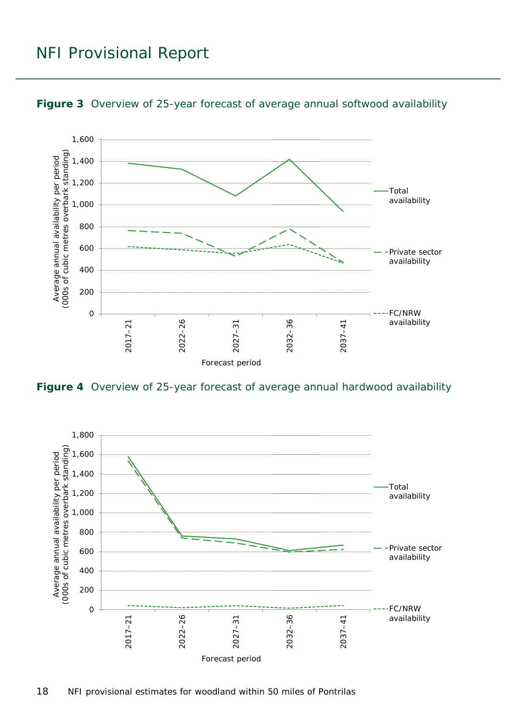### NFI Provisional Report



<span id="page-17-0"></span>**Figure 3** Overview of 25-year forecast of average annual softwood availability

<span id="page-17-1"></span>**Figure 4** Overview of 25-year forecast of average annual hardwood availability

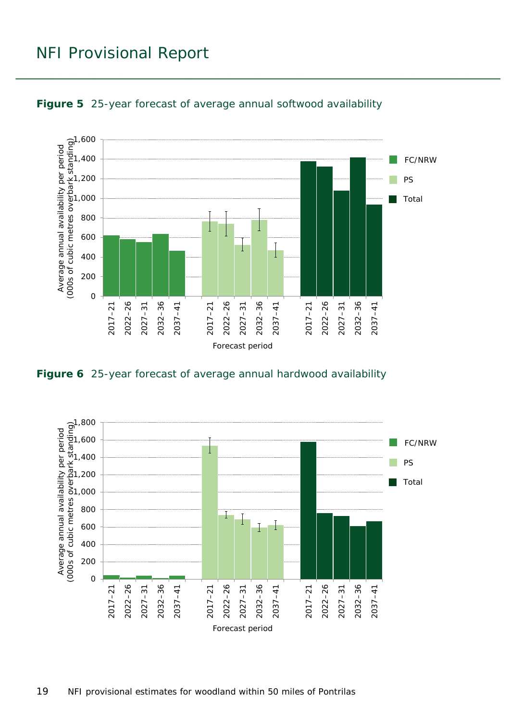### NFI Provisional Report



<span id="page-18-0"></span>

<span id="page-18-1"></span>**Figure 6** 25-year forecast of average annual hardwood availability